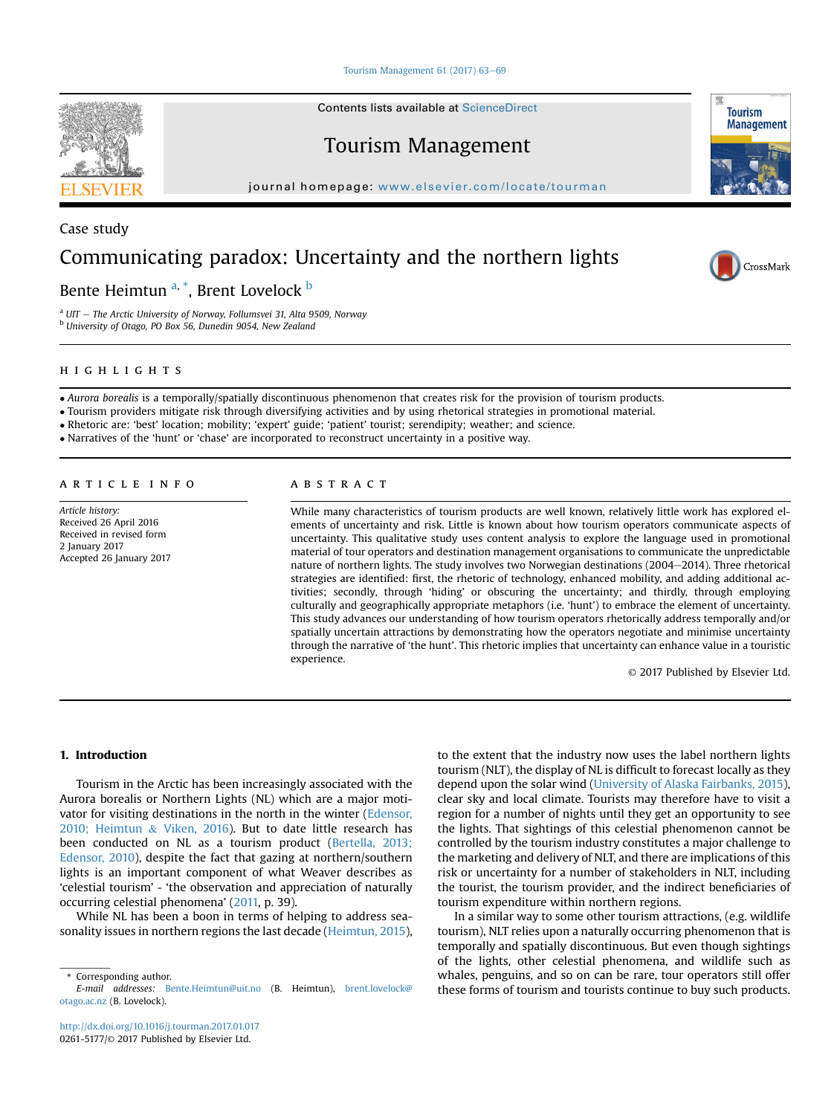Tourism Management  $61$  (2017)  $63-69$  $63-69$ 

Contents lists available at ScienceDirect

## Tourism Management

journal homepage: [www.elsevier.com/locate/tourman](http://www.elsevier.com/locate/tourman)

Case study

# Communicating paradox: Uncertainty and the northern lights

### Bente Heimtun <sup>a, \*</sup>, Brent Lovelock <sup>b</sup>

 $a$  UIT - The Arctic University of Norway, Follumsvei 31, Alta 9509, Norway <sup>b</sup> University of Otago, PO Box 56, Dunedin 9054, New Zealand

Aurora borealis is a temporally/spatially discontinuous phenomenon that creates risk for the provision of tourism products.

Tourism providers mitigate risk through diversifying activities and by using rhetorical strategies in promotional material.

Rhetoric are: 'best' location; mobility; 'expert' guide; 'patient' tourist; serendipity; weather; and science.

Narratives of the 'hunt' or 'chase' are incorporated to reconstruct uncertainty in a positive way.

## article info

Article history: Received 26 April 2016 Received in revised form 2 January 2017 Accepted 26 January 2017

## abstract

While many characteristics of tourism products are well known, relatively little work has explored elements of uncertainty and risk. Little is known about how tourism operators communicate aspects of uncertainty. This qualitative study uses content analysis to explore the language used in promotional material of tour operators and destination management organisations to communicate the unpredictable nature of northern lights. The study involves two Norwegian destinations (2004–2014). Three rhetorical strategies are identified: first, the rhetoric of technology, enhanced mobility, and adding additional activities; secondly, through 'hiding' or obscuring the uncertainty; and thirdly, through employing culturally and geographically appropriate metaphors (i.e. 'hunt') to embrace the element of uncertainty. This study advances our understanding of how tourism operators rhetorically address temporally and/or spatially uncertain attractions by demonstrating how the operators negotiate and minimise uncertainty through the narrative of 'the hunt'. This rhetoric implies that uncertainty can enhance value in a touristic experience.

© 2017 Published by Elsevier Ltd.

### 1. Introduction

Tourism in the Arctic has been increasingly associated with the Aurora borealis or Northern Lights (NL) which are a major motivator for visiting destinations in the north in the winter (Edensor, 2010; Heimtun & Viken, 2016). But to date little research has been conducted on NL as a tourism product (Bertella, 2013; Edensor, 2010), despite the fact that gazing at northern/southern lights is an important component of what Weaver describes as 'celestial tourism' - 'the observation and appreciation of naturally occurring celestial phenomena' (2011, p. 39).

While NL has been a boon in terms of helping to address seasonality issues in northern regions the last decade (Heimtun, 2015), to the extent that the industry now uses the label northern lights tourism (NLT), the display of NL is difficult to forecast locally as they depend upon the solar wind (University of Alaska Fairbanks, 2015), clear sky and local climate. Tourists may therefore have to visit a region for a number of nights until they get an opportunity to see the lights. That sightings of this celestial phenomenon cannot be controlled by the tourism industry constitutes a major challenge to the marketing and delivery of NLT, and there are implications of this risk or uncertainty for a number of stakeholders in NLT, including the tourist, the tourism provider, and the indirect beneficiaries of tourism expenditure within northern regions.

In a similar way to some other tourism attractions, (e.g. wildlife tourism), NLT relies upon a naturally occurring phenomenon that is temporally and spatially discontinuous. But even though sightings of the lights, other celestial phenomena, and wildlife such as whales, penguins, and so on can be rare, tour operators still offer these forms of tourism and tourists continue to buy such products.







<sup>\*</sup> Corresponding author.

E-mail addresses: [Bente.Heimtun@uit.no](mailto:Bente.Heimtun@uit.no) (B. Heimtun), [brent.lovelock@](mailto:brent.lovelock@otago.ac.nz) [otago.ac.nz](mailto:brent.lovelock@otago.ac.nz) (B. Lovelock).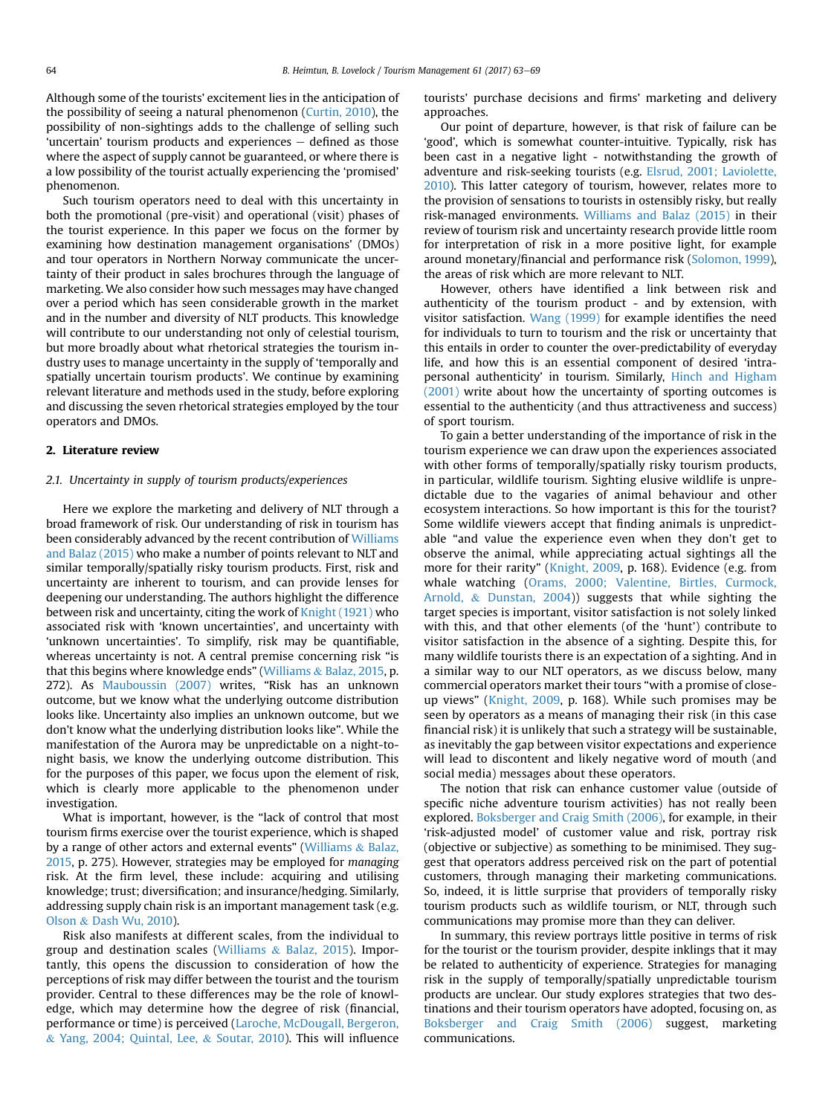Although some of the tourists' excitement lies in the anticipation of the possibility of seeing a natural phenomenon (Curtin, 2010), the possibility of non-sightings adds to the challenge of selling such 'uncertain' tourism products and experiences  $-$  defined as those where the aspect of supply cannot be guaranteed, or where there is a low possibility of the tourist actually experiencing the 'promised' phenomenon.

Such tourism operators need to deal with this uncertainty in both the promotional (pre-visit) and operational (visit) phases of the tourist experience. In this paper we focus on the former by examining how destination management organisations' (DMOs) and tour operators in Northern Norway communicate the uncertainty of their product in sales brochures through the language of marketing. We also consider how such messages may have changed over a period which has seen considerable growth in the market and in the number and diversity of NLT products. This knowledge will contribute to our understanding not only of celestial tourism, but more broadly about what rhetorical strategies the tourism industry uses to manage uncertainty in the supply of 'temporally and spatially uncertain tourism products'. We continue by examining relevant literature and methods used in the study, before exploring and discussing the seven rhetorical strategies employed by the tour operators and DMOs.

#### 2. Literature review

#### 2.1. Uncertainty in supply of tourism products/experiences

Here we explore the marketing and delivery of NLT through a broad framework of risk. Our understanding of risk in tourism has been considerably advanced by the recent contribution of Williams and Balaz (2015) who make a number of points relevant to NLT and similar temporally/spatially risky tourism products. First, risk and uncertainty are inherent to tourism, and can provide lenses for deepening our understanding. The authors highlight the difference between risk and uncertainty, citing the work of Knight (1921) who associated risk with 'known uncertainties', and uncertainty with 'unknown uncertainties'. To simplify, risk may be quantifiable, whereas uncertainty is not. A central premise concerning risk "is that this begins where knowledge ends" (Williams & Balaz, 2015, p. 272). As Mauboussin (2007) writes, "Risk has an unknown outcome, but we know what the underlying outcome distribution looks like. Uncertainty also implies an unknown outcome, but we don't know what the underlying distribution looks like". While the manifestation of the Aurora may be unpredictable on a night-tonight basis, we know the underlying outcome distribution. This for the purposes of this paper, we focus upon the element of risk, which is clearly more applicable to the phenomenon under investigation.

What is important, however, is the "lack of control that most tourism firms exercise over the tourist experience, which is shaped by a range of other actors and external events" (Williams & Balaz, 2015, p. 275). However, strategies may be employed for managing risk. At the firm level, these include: acquiring and utilising knowledge; trust; diversification; and insurance/hedging. Similarly, addressing supply chain risk is an important management task (e.g. Olson & Dash Wu, 2010).

Risk also manifests at different scales, from the individual to group and destination scales (Williams & Balaz, 2015). Importantly, this opens the discussion to consideration of how the perceptions of risk may differ between the tourist and the tourism provider. Central to these differences may be the role of knowledge, which may determine how the degree of risk (financial, performance or time) is perceived (Laroche, McDougall, Bergeron, & Yang, 2004; Quintal, Lee, & Soutar, 2010). This will influence tourists' purchase decisions and firms' marketing and delivery approaches.

Our point of departure, however, is that risk of failure can be 'good', which is somewhat counter-intuitive. Typically, risk has been cast in a negative light - notwithstanding the growth of adventure and risk-seeking tourists (e.g. Elsrud, 2001; Laviolette, 2010). This latter category of tourism, however, relates more to the provision of sensations to tourists in ostensibly risky, but really risk-managed environments. Williams and Balaz (2015) in their review of tourism risk and uncertainty research provide little room for interpretation of risk in a more positive light, for example around monetary/financial and performance risk (Solomon, 1999), the areas of risk which are more relevant to NLT.

However, others have identified a link between risk and authenticity of the tourism product - and by extension, with visitor satisfaction. Wang (1999) for example identifies the need for individuals to turn to tourism and the risk or uncertainty that this entails in order to counter the over-predictability of everyday life, and how this is an essential component of desired 'intrapersonal authenticity' in tourism. Similarly, Hinch and Higham (2001) write about how the uncertainty of sporting outcomes is essential to the authenticity (and thus attractiveness and success) of sport tourism.

To gain a better understanding of the importance of risk in the tourism experience we can draw upon the experiences associated with other forms of temporally/spatially risky tourism products, in particular, wildlife tourism. Sighting elusive wildlife is unpredictable due to the vagaries of animal behaviour and other ecosystem interactions. So how important is this for the tourist? Some wildlife viewers accept that finding animals is unpredictable "and value the experience even when they don't get to observe the animal, while appreciating actual sightings all the more for their rarity" (Knight, 2009, p. 168). Evidence (e.g. from whale watching (Orams, 2000; Valentine, Birtles, Curmock, Arnold, & Dunstan, 2004)) suggests that while sighting the target species is important, visitor satisfaction is not solely linked with this, and that other elements (of the 'hunt') contribute to visitor satisfaction in the absence of a sighting. Despite this, for many wildlife tourists there is an expectation of a sighting. And in a similar way to our NLT operators, as we discuss below, many commercial operators market their tours "with a promise of closeup views" (Knight, 2009, p. 168). While such promises may be seen by operators as a means of managing their risk (in this case financial risk) it is unlikely that such a strategy will be sustainable, as inevitably the gap between visitor expectations and experience will lead to discontent and likely negative word of mouth (and social media) messages about these operators.

The notion that risk can enhance customer value (outside of specific niche adventure tourism activities) has not really been explored. Boksberger and Craig Smith (2006), for example, in their 'risk-adjusted model' of customer value and risk, portray risk (objective or subjective) as something to be minimised. They suggest that operators address perceived risk on the part of potential customers, through managing their marketing communications. So, indeed, it is little surprise that providers of temporally risky tourism products such as wildlife tourism, or NLT, through such communications may promise more than they can deliver.

In summary, this review portrays little positive in terms of risk for the tourist or the tourism provider, despite inklings that it may be related to authenticity of experience. Strategies for managing risk in the supply of temporally/spatially unpredictable tourism products are unclear. Our study explores strategies that two destinations and their tourism operators have adopted, focusing on, as Boksberger and Craig Smith (2006) suggest, marketing communications.